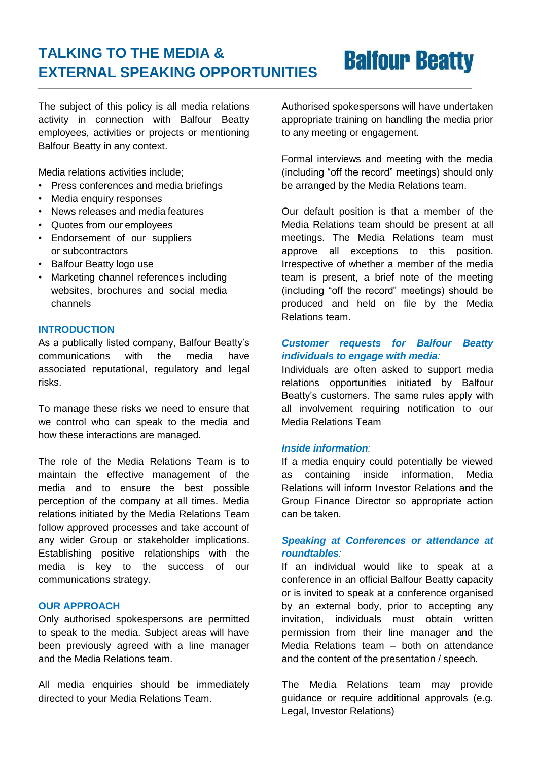## **TALKING TO THE MEDIA & EXTERNAL SPEAKING OPPORTUNITIES**

# **Balfour Beatty**

The subject of this policy is all media relations activity in connection with Balfour Beatty employees, activities or projects or mentioning Balfour Beatty in any context.

Media relations activities include;

- Press conferences and media briefings
- Media enquiry responses
- News releases and media features
- Quotes from our employees
- Endorsement of our suppliers or subcontractors
- Balfour Beatty logo use
- Marketing channel references including websites, brochures and social media channels

#### **INTRODUCTION**

As a publically listed company, Balfour Beatty's communications with the media have associated reputational, regulatory and legal risks.

To manage these risks we need to ensure that we control who can speak to the media and how these interactions are managed.

The role of the Media Relations Team is to maintain the effective management of the media and to ensure the best possible perception of the company at all times. Media relations initiated by the Media Relations Team follow approved processes and take account of any wider Group or stakeholder implications. Establishing positive relationships with the media is key to the success of our communications strategy.

#### **OUR APPROACH**

Only authorised spokespersons are permitted to speak to the media. Subject areas will have been previously agreed with a line manager and the Media Relations team.

All media enquiries should be immediately directed to your Media Relations Team.

Authorised spokespersons will have undertaken appropriate training on handling the media prior to any meeting or engagement.

Formal interviews and meeting with the media (including "off the record" meetings) should only be arranged by the Media Relations team.

Our default position is that a member of the Media Relations team should be present at all meetings. The Media Relations team must approve all exceptions to this position. Irrespective of whether a member of the media team is present, a brief note of the meeting (including "off the record" meetings) should be produced and held on file by the Media Relations team.

### *Customer requests for Balfour Beatty individuals to engage with media:*

Individuals are often asked to support media relations opportunities initiated by Balfour Beatty's customers. The same rules apply with all involvement requiring notification to our Media Relations Team

#### *Inside information:*

If a media enquiry could potentially be viewed as containing inside information, Media Relations will inform Investor Relations and the Group Finance Director so appropriate action can be taken.

#### *Speaking at Conferences or attendance at roundtables:*

If an individual would like to speak at a conference in an official Balfour Beatty capacity or is invited to speak at a conference organised by an external body, prior to accepting any invitation, individuals must obtain written permission from their line manager and the Media Relations team – both on attendance and the content of the presentation / speech.

The Media Relations team may provide guidance or require additional approvals (e.g. Legal, Investor Relations)